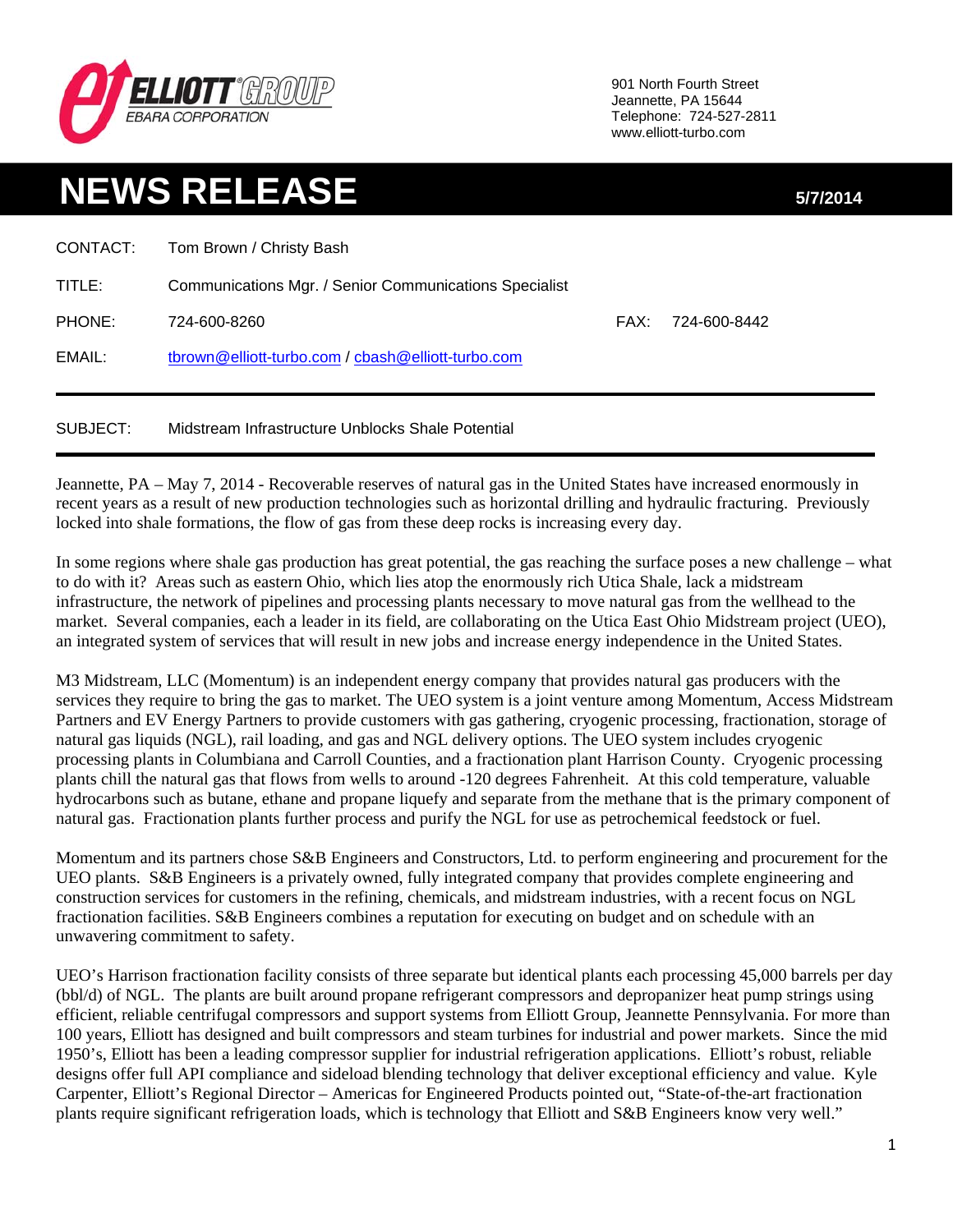

901 North Fourth Street Jeannette, PA 15644 Telephone: 724-527-2811 www.elliott-turbo.com

## **NEWS RELEASE** 5/7/2014

| CONTACT:      | Tom Brown / Christy Bash                               |      |              |
|---------------|--------------------------------------------------------|------|--------------|
| TITLE:        | Communications Mgr. / Senior Communications Specialist |      |              |
| <b>PHONE:</b> | 724-600-8260                                           | FAX: | 724-600-8442 |
| EMAIL:        | tbrown@elliott-turbo.com / cbash@elliott-turbo.com     |      |              |
|               |                                                        |      |              |
| SUBJECT:      | Midstream Infrastructure Unblocks Shale Potential      |      |              |

Jeannette, PA – May 7, 2014 - Recoverable reserves of natural gas in the United States have increased enormously in recent years as a result of new production technologies such as horizontal drilling and hydraulic fracturing. Previously locked into shale formations, the flow of gas from these deep rocks is increasing every day.

In some regions where shale gas production has great potential, the gas reaching the surface poses a new challenge – what to do with it? Areas such as eastern Ohio, which lies atop the enormously rich Utica Shale, lack a midstream infrastructure, the network of pipelines and processing plants necessary to move natural gas from the wellhead to the market. Several companies, each a leader in its field, are collaborating on the Utica East Ohio Midstream project (UEO), an integrated system of services that will result in new jobs and increase energy independence in the United States.

M3 Midstream, LLC (Momentum) is an independent energy company that provides natural gas producers with the services they require to bring the gas to market. The UEO system is a joint venture among Momentum, Access Midstream Partners and EV Energy Partners to provide customers with gas gathering, cryogenic processing, fractionation, storage of natural gas liquids (NGL), rail loading, and gas and NGL delivery options. The UEO system includes cryogenic processing plants in Columbiana and Carroll Counties, and a fractionation plant Harrison County. Cryogenic processing plants chill the natural gas that flows from wells to around -120 degrees Fahrenheit. At this cold temperature, valuable hydrocarbons such as butane, ethane and propane liquefy and separate from the methane that is the primary component of natural gas. Fractionation plants further process and purify the NGL for use as petrochemical feedstock or fuel.

Momentum and its partners chose S&B Engineers and Constructors, Ltd. to perform engineering and procurement for the UEO plants. S&B Engineers is a privately owned, fully integrated company that provides complete engineering and construction services for customers in the refining, chemicals, and midstream industries, with a recent focus on NGL fractionation facilities. S&B Engineers combines a reputation for executing on budget and on schedule with an unwavering commitment to safety.

UEO's Harrison fractionation facility consists of three separate but identical plants each processing 45,000 barrels per day (bbl/d) of NGL. The plants are built around propane refrigerant compressors and depropanizer heat pump strings using efficient, reliable centrifugal compressors and support systems from Elliott Group, Jeannette Pennsylvania. For more than 100 years, Elliott has designed and built compressors and steam turbines for industrial and power markets. Since the mid 1950's, Elliott has been a leading compressor supplier for industrial refrigeration applications. Elliott's robust, reliable designs offer full API compliance and sideload blending technology that deliver exceptional efficiency and value. Kyle Carpenter, Elliott's Regional Director – Americas for Engineered Products pointed out, "State-of-the-art fractionation plants require significant refrigeration loads, which is technology that Elliott and S&B Engineers know very well."